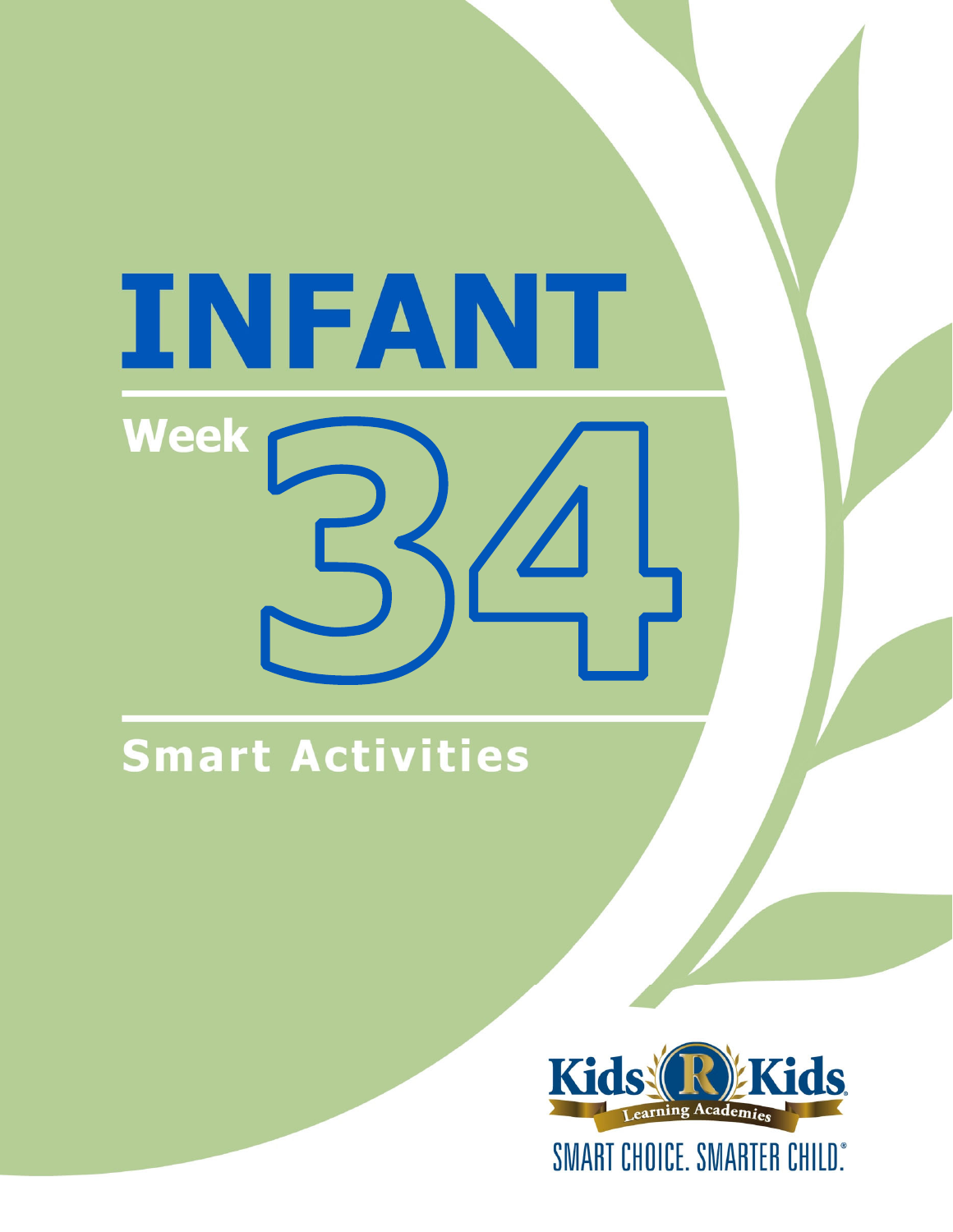# INFANT **Week**

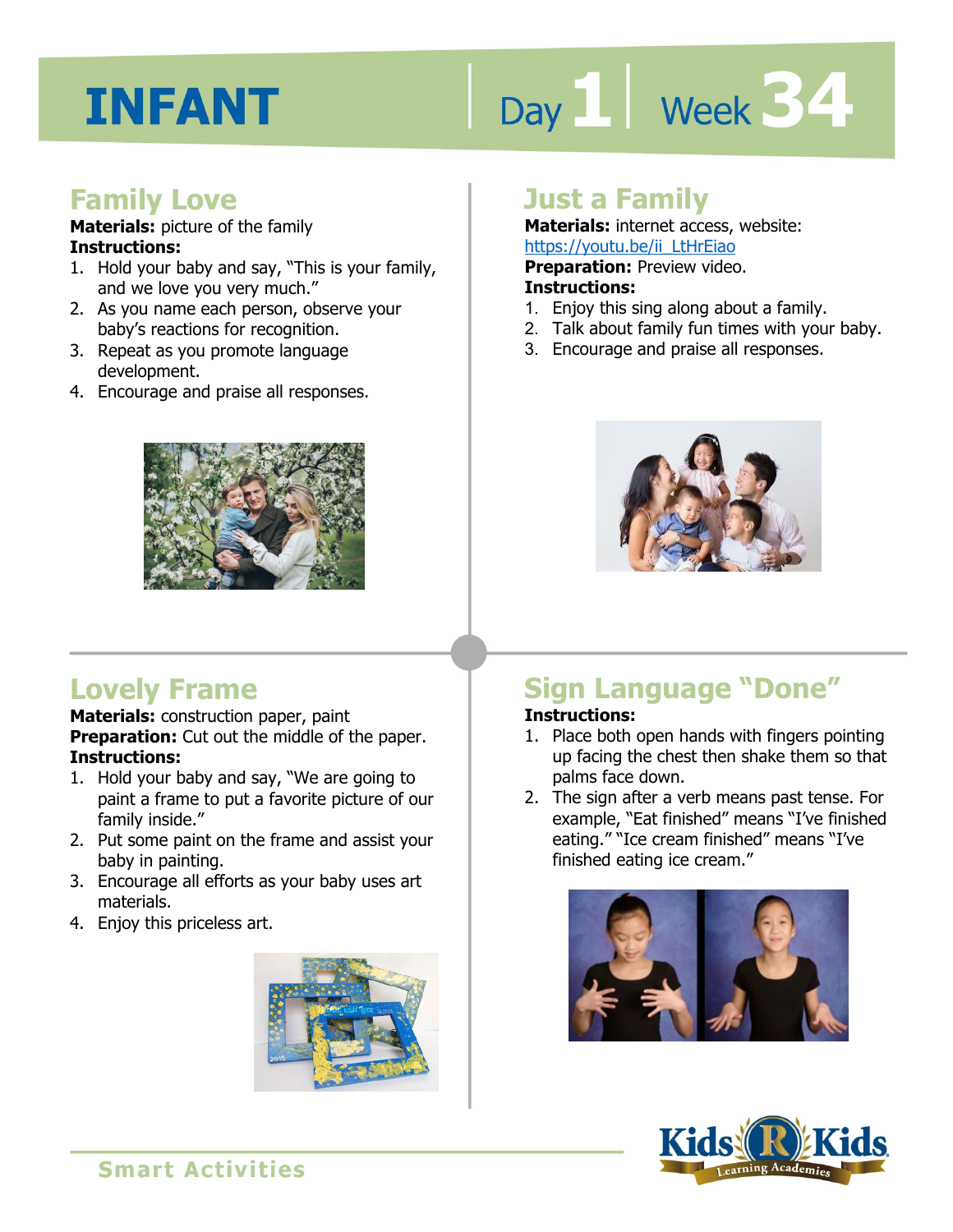# Day 1 **Week 34**

#### **Family Love**

#### **Materials:** picture of the family **Instructions:**

- 1. Hold your baby and say, "This is your family, and we love you very much."
- 2. As you name each person, observe your baby's reactions for recognition.
- 3. Repeat as you promote language development.
- 4. Encourage and praise all responses.



#### **Lovely Frame**

**Materials:** construction paper, paint **Preparation:** Cut out the middle of the paper. **Instructions:** 

- 1. Hold your baby and say, "We are going to paint a frame to put a favorite picture of our family inside."
- 2. Put some paint on the frame and assist your baby in painting.
- 3. Encourage all efforts as your baby uses art materials.
- 4. Enjoy this priceless art.



#### **Just a Family**

**Materials:** internet access, website: https://youtu.be/ii\_LtHrEiao

<u>IRtps.//yodd.be/il\_Edificitoloups.//yodd.be/il\_Edificitoloups.<br>**Preparation:** Preview video.<br>1. Enjoy this sing along about a family.</u> **Preparation:** Preview video.

#### **Instructions:**

- 
- 2. Talk about family fun times with your baby.
- 3. Encourage and praise all responses.



#### **Sign Language "Done"**

#### **Instructions:**

- 1. Place both open hands with fingers pointing up facing the chest then shake them so that palms face down.
- 2. The sign after a verb means past tense. For example, "Eat finished" means "I've finished eating." "Ice cream finished" means "I've finished eating ice cream."



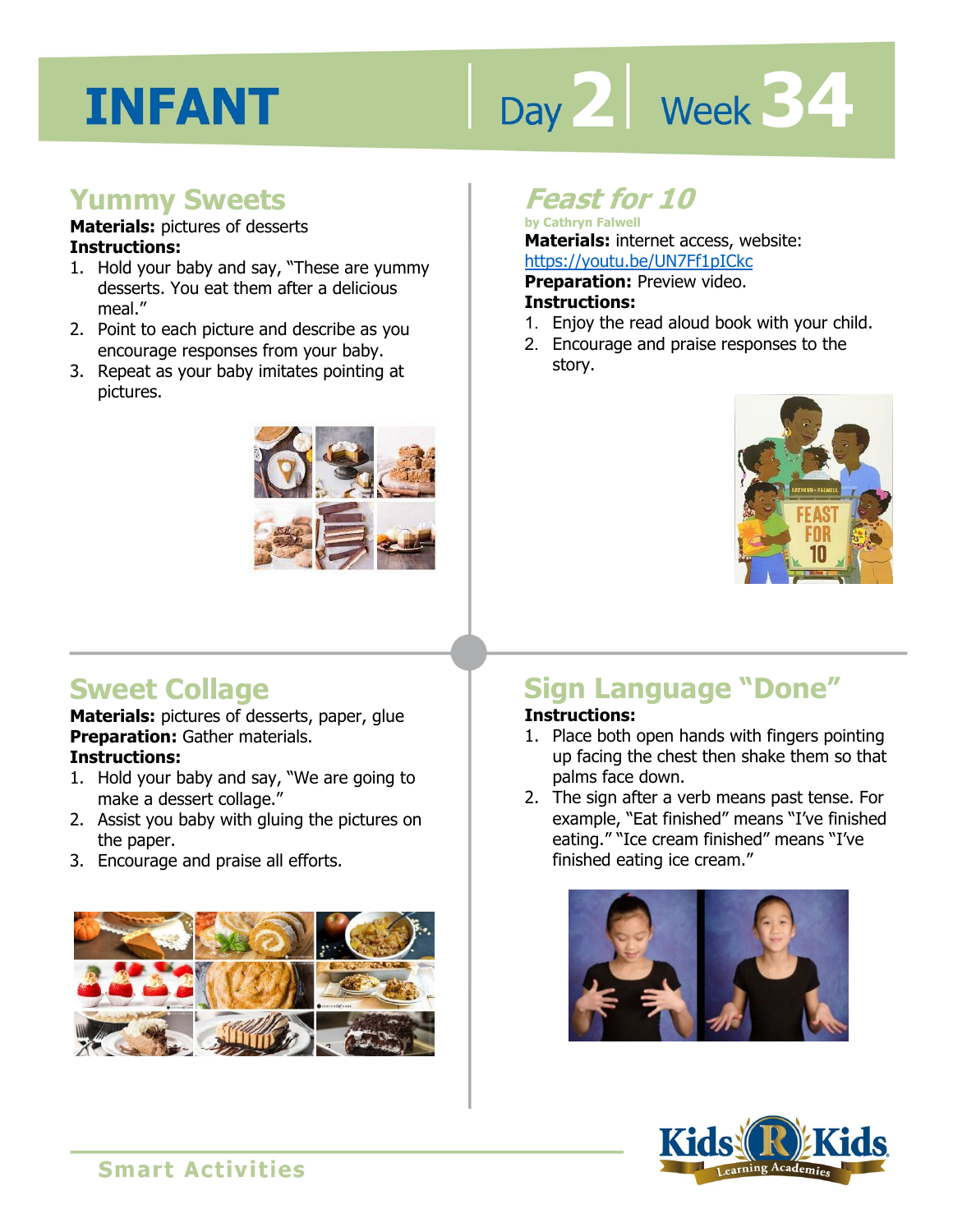# Day 2 **Week 34**

#### **Yummy Sweets**

#### **Materials:** pictures of desserts **Instructions:**

- 1. Hold your baby and say, "These are yummy desserts. You eat them after a delicious meal."
- 2. Point to each picture and describe as you encourage responses from your baby.
- 3. Repeat as your baby imitates pointing at pictures.



#### **Feast for 10**

**by Cathryn Falwell Materials:** internet access, website:

**https://youtu.be/UN7Ff1pICkc**<br>**Preparation:** Preview video.<br>**Instructions:**<br>4 Friex the read aloud book with your **Preparation:** Preview video. **Instructions:** 

- 1. Enjoy the read aloud book with your child.
- 2. Encourage and praise responses to the story.



#### **Sweet Collage**

**Materials:** pictures of desserts, paper, glue **Preparation:** Gather materials. **Instructions:** 

- 1. Hold your baby and say, "We are going to make a dessert collage."
- 2. Assist you baby with gluing the pictures on the paper.
- 3. Encourage and praise all efforts.



#### **Sign Language "Done"**

#### **Instructions:**

- 1. Place both open hands with fingers pointing up facing the chest then shake them so that palms face down.
- 2. The sign after a verb means past tense. For example, "Eat finished" means "I've finished eating." "Ice cream finished" means "I've finished eating ice cream."



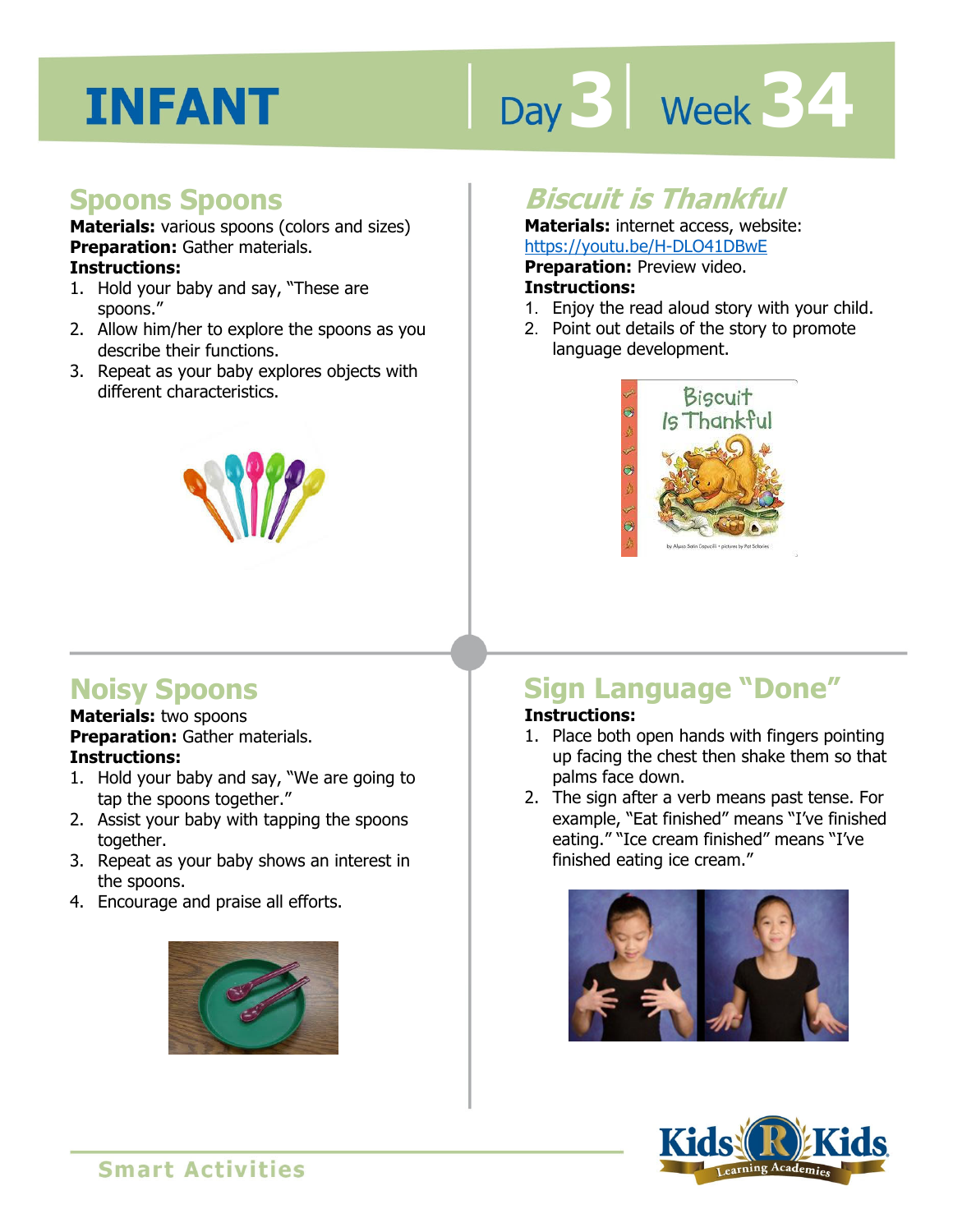# Day 3 | Week 34

#### **Spoons Spoons**

**Materials:** various spoons (colors and sizes) **Preparation:** Gather materials. **Instructions:** 

- 1. Hold your baby and say, "These are spoons."
- 2. Allow him/her to explore the spoons as you describe their functions.
- 3. Repeat as your baby explores objects with different characteristics.



#### **Biscuit is Thankful**

**Materials:** internet access, website: https://youtu.be/H-DLO41DBwE

**Preparation:** Preview video.

#### **Instructions:**

- **IRCOS.//YOUGE.DE/IT-DEO-TIDBWE**<br>**Preparation:** Preview video.<br>1. Enjoy the read aloud story with your child.
- 2. Point out details of the story to promote language development.



#### **Noisy Spoons**

**Materials:** two spoons **Preparation:** Gather materials. **Instructions:** 

- 1. Hold your baby and say, "We are going to tap the spoons together."
- 2. Assist your baby with tapping the spoons together.
- 3. Repeat as your baby shows an interest in the spoons.
- 4. Encourage and praise all efforts.



#### **Sign Language "Done"**

#### **Instructions:**

- 1. Place both open hands with fingers pointing up facing the chest then shake them so that palms face down.
- 2. The sign after a verb means past tense. For example, "Eat finished" means "I've finished eating." "Ice cream finished" means "I've finished eating ice cream."



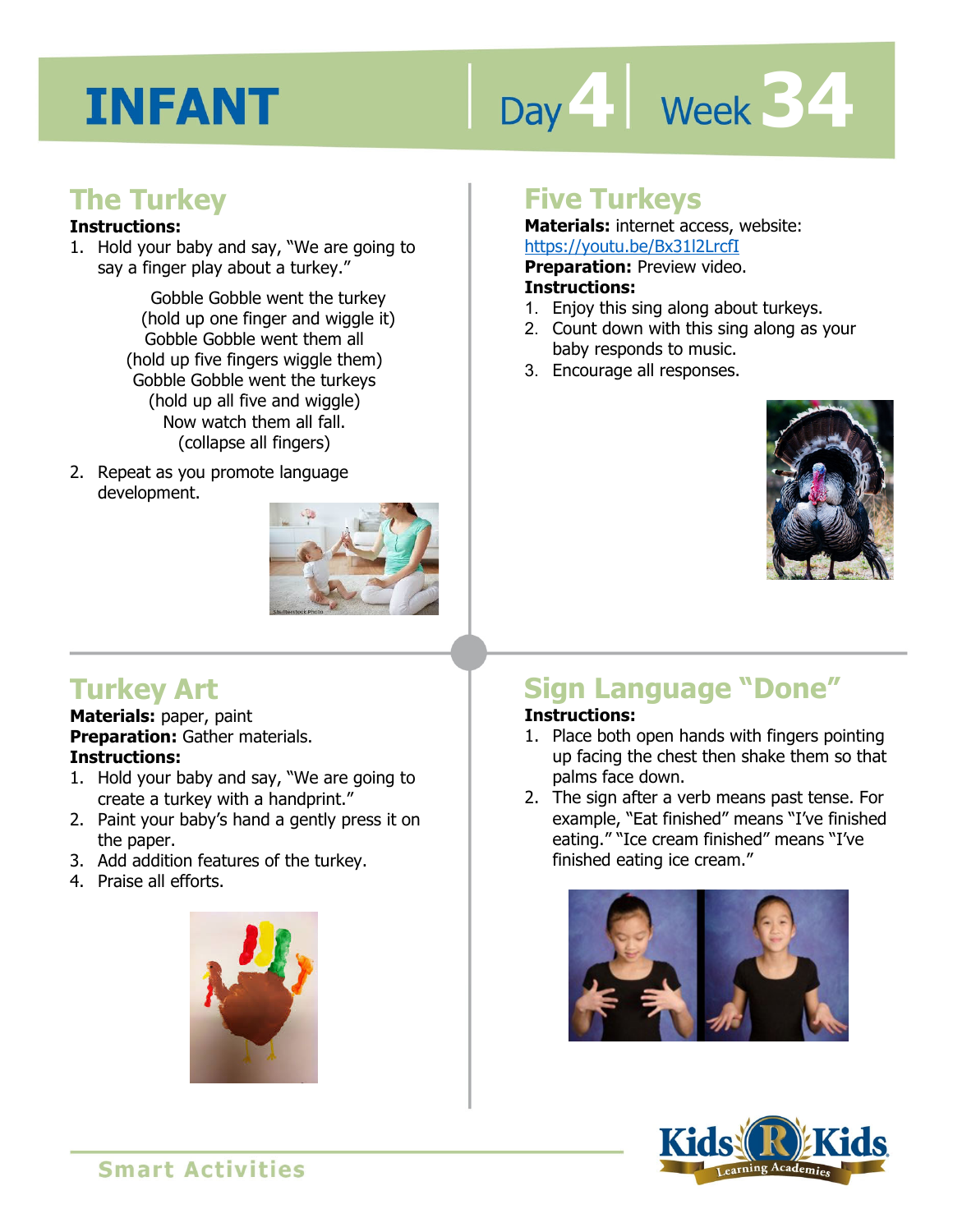# Day 4 **Week 34**

#### **The Turkey**

#### **Instructions:**

1. Hold your baby and say, "We are going to say a finger play about a turkey."

> Gobble Gobble went the turkey (hold up one finger and wiggle it) Gobble Gobble went them all (hold up five fingers wiggle them) Gobble Gobble went the turkeys (hold up all five and wiggle) Now watch them all fall. (collapse all fingers)

2. Repeat as you promote language development.



#### **Turkey Art**

**Materials:** paper, paint **Preparation:** Gather materials. **Instructions:** 

- 1. Hold your baby and say, "We are going to create a turkey with a handprint."
- 2. Paint your baby's hand a gently press it on the paper.
- 3. Add addition features of the turkey.
- 4. Praise all efforts.



#### **Five Turkeys**

**Materials:** internet access, website: https://youtu.be/Bx31l2LrcfI

**Preparation:** Preview video.

#### **Instructions:**

- 1. Enjoy this sing along about turkeys.
- 2. Count down with this sing along as your baby responds to music.
- 3. Encourage all responses.



#### **Sign Language "Done"**

#### **Instructions:**

- 1. Place both open hands with fingers pointing up facing the chest then shake them so that palms face down.
- 2. The sign after a verb means past tense. For example, "Eat finished" means "I've finished eating." "Ice cream finished" means "I've finished eating ice cream."